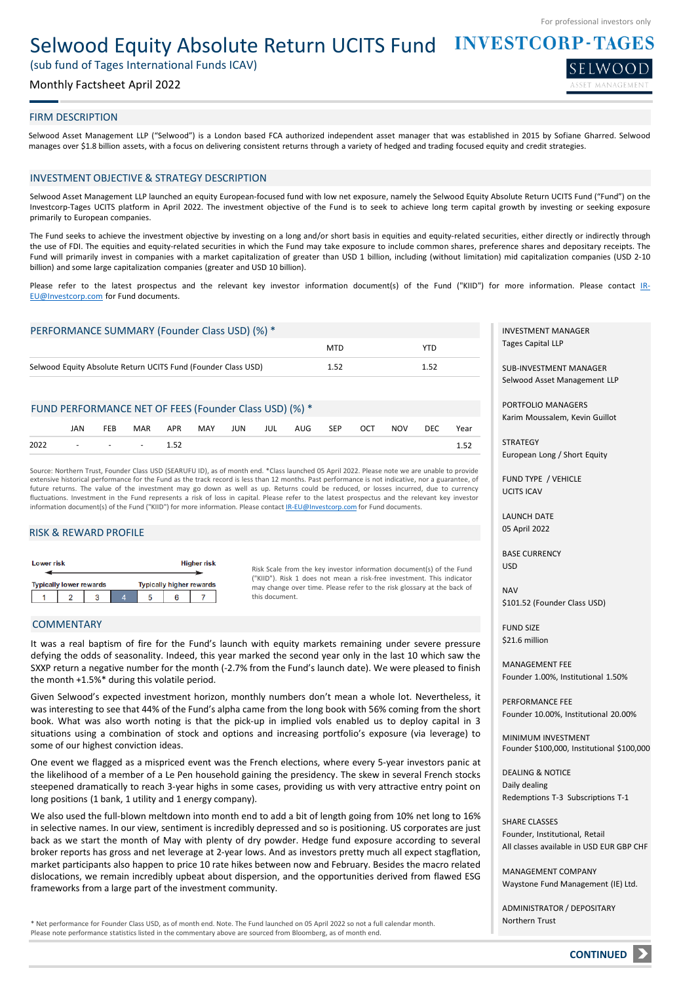SELWOOD

# Selwood Equity Absolute Return UCITS Fund INVESTCORP-TAGES

(sub fund of Tages International Funds ICAV)

# Monthly Factsheet April 2022

# FIRM DESCRIPTION

Selwood Asset Management LLP ("Selwood") is a London based FCA authorized independent asset manager that was established in 2015 by Sofiane Gharred. Selwood manages over \$1.8 billion assets, with a focus on delivering consistent returns through a variety of hedged and trading focused equity and credit strategies.

### INVESTMENT OBJECTIVE & STRATEGY DESCRIPTION

Selwood Asset Management LLP launched an equity European-focused fund with low net exposure, namely the Selwood Equity Absolute Return UCITS Fund ("Fund") on the Investcorp-Tages UCITS platform in April 2022. The investment objective of the Fund is to seek to achieve long term capital growth by investing or seeking exposure primarily to European companies.

The Fund seeks to achieve the investment objective by investing on a long and/or short basis in equities and equity-related securities, either directly or indirectly through the use of FDI. The equities and equity-related securities in which the Fund may take exposure to include common shares, preference shares and depositary receipts. The Fund will primarily invest in companies with a market capitalization of greater than USD 1 billion, including (without limitation) mid capitalization companies (USD 2-10 billion) and some large capitalization companies (greater and USD 10 billion).

Please refer to the latest prospectus and the relevant key investor information document(s) of the Fund ("KIID") for more information. Please contact IR-[EU@Investcorp.com](mailto:IR-EU@Investcorp.com) for Fund documents.

| PERFORMANCE SUMMARY (Founder Class USD) (%) *                 |            |      |
|---------------------------------------------------------------|------------|------|
|                                                               | <b>MTD</b> | YTD  |
| Selwood Equity Absolute Return UCITS Fund (Founder Class USD) | 1.52       | 1.52 |

### FUND PERFORMANCE NET OF FEES (Founder Class USD) (%) \*

|      | JAN | FEB | MAR                              | APR MAY JUN JUL AUG SEP OCT |  |  |  | NOV DEC | Year |
|------|-----|-----|----------------------------------|-----------------------------|--|--|--|---------|------|
| 2022 |     |     | $\sim$ $\sim$ $\sim$ $\sim$ 1.52 |                             |  |  |  |         | 1.52 |

Source: Northern Trust, Founder Class USD (SEARUFU ID), as of month end. \*Class launched 05 April 2022. Please note we are unable to provide extensive historical performance for the Fund as the track record is less than 12 months. Past performance is not indicative, nor a guarantee, of future returns. The value of the investment may go down as well as up. Returns could be reduced, or losses incurred, due to currency fluctuations. Investment in the Fund represents a risk of loss in capital. Please refer to the latest prospectus and the relevant key investor information document(s) of the Fund ("KIID") for more information. Please contact [IR-EU@Investcorp.com](mailto:IR-EU@Investcorp.com) for Fund documents.

### RISK & REWARD PROFILE

| Lower risk |  |                                |  |   |                                 | <b>Higher risk</b> |  |
|------------|--|--------------------------------|--|---|---------------------------------|--------------------|--|
|            |  | <b>Typically lower rewards</b> |  |   | <b>Typically higher rewards</b> |                    |  |
|            |  |                                |  | 5 |                                 |                    |  |

Risk Scale from the key investor information document(s) of the Fund ("KIID"). Risk 1 does not mean a risk-free investment. This indicator may change over time. Please refer to the risk glossary at the back of this document.

# COMMENTARY

It was a real baptism of fire for the Fund's launch with equity markets remaining under severe pressure defying the odds of seasonality. Indeed, this year marked the second year only in the last 10 which saw the SXXP return a negative number for the month (-2.7% from the Fund's launch date). We were pleased to finish the month +1.5%\* during this volatile period.

Given Selwood's expected investment horizon, monthly numbers don't mean a whole lot. Nevertheless, it was interesting to see that 44% of the Fund's alpha came from the long book with 56% coming from the short book. What was also worth noting is that the pick-up in implied vols enabled us to deploy capital in 3 situations using a combination of stock and options and increasing portfolio's exposure (via leverage) to some of our highest conviction ideas.

One event we flagged as a mispriced event was the French elections, where every 5-year investors panic at the likelihood of a member of a Le Pen household gaining the presidency. The skew in several French stocks steepened dramatically to reach 3-year highs in some cases, providing us with very attractive entry point on long positions (1 bank, 1 utility and 1 energy company).

We also used the full-blown meltdown into month end to add a bit of length going from 10% net long to 16% in selective names. In our view, sentiment is incredibly depressed and so is positioning. US corporates are just back as we start the month of May with plenty of dry powder. Hedge fund exposure according to several broker reports has gross and net leverage at 2-year lows. And as investors pretty much all expect stagflation, market participants also happen to price 10 rate hikes between now and February. Besides the macro related dislocations, we remain incredibly upbeat about dispersion, and the opportunities derived from flawed ESG frameworks from a large part of the investment community.

\* Net performance for Founder Class USD, as of month end. Note. The Fund launched on 05 April 2022 so not a full calendar month. Please note performance statistics listed in the commentary above are sourced from Bloomberg, as of month end.

INVESTMENT MANAGER Tages Capital LLP

SUB-INVESTMENT MANAGER Selwood Asset Management LLP

PORTFOLIO MANAGERS Karim Moussalem, Kevin Guillot

**STRATEGY** European Long / Short Equity

FUND TYPE / VEHICLE UCITS ICAV

LAUNCH DATE 05 April 2022

BASE CURRENCY USD

NAV \$101.52 (Founder Class USD)

FUND SIZE \$21.6 million

MANAGEMENT FEE Founder 1.00%, Institutional 1.50%

PERFORMANCE FEE Founder 10.00%, Institutional 20.00%

MINIMUM INVESTMENT Founder \$100,000, Institutional \$100,000

DEALING & NOTICE Daily dealing Redemptions T-3 Subscriptions T-1

SHARE CLASSES Founder, Institutional, Retail All classes available in USD EUR GBP CHF

MANAGEMENT COMPANY Waystone Fund Management (IE) Ltd.

ADMINISTRATOR / DEPOSITARY Northern Trust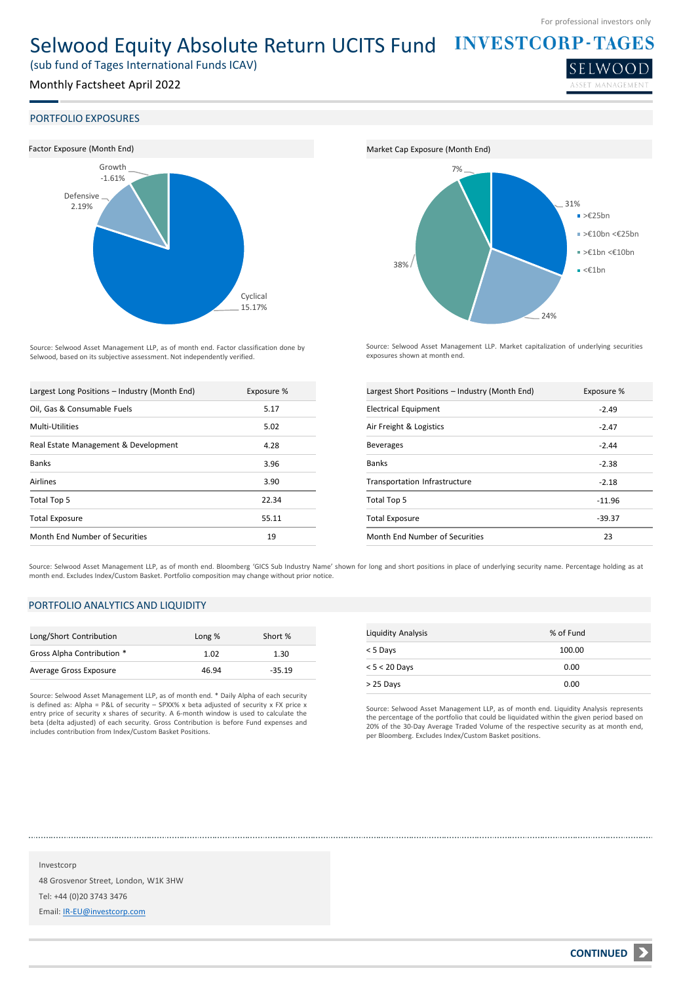LWO<sub>(</sub>

# Selwood Equity Absolute Return UCITS Fund INVESTCORP-TAGES

(sub fund of Tages International Funds ICAV)

# Monthly Factsheet April 2022

### PORTFOLIO EXPOSURES



Source: Selwood Asset Management LLP, as of month end. Factor classification done by Selwood, based on its subjective assessment. Not independently verified.

| Largest Long Positions - Industry (Month End) | Exposure % |
|-----------------------------------------------|------------|
| Oil, Gas & Consumable Fuels                   | 5.17       |
| Multi-Utilities                               | 5.02       |
| Real Estate Management & Development          | 4.28       |
| <b>Banks</b>                                  | 3.96       |
| <b>Airlines</b>                               | 3.90       |
| Total Top 5                                   | 22.34      |
| <b>Total Exposure</b>                         | 55.11      |
| Month End Number of Securities                | 19         |



Source: Selwood Asset Management LLP. Market capitalization of underlying securities exposures shown at month end.

| Largest Short Positions - Industry (Month End) | Exposure % |
|------------------------------------------------|------------|
| <b>Electrical Equipment</b>                    | $-2.49$    |
| Air Freight & Logistics                        | $-2.47$    |
| <b>Beverages</b>                               | $-2.44$    |
| <b>Banks</b>                                   | $-2.38$    |
| Transportation Infrastructure                  | $-2.18$    |
| Total Top 5                                    | $-11.96$   |
| <b>Total Exposure</b>                          | $-39.37$   |
| Month End Number of Securities                 | 23         |

Source: Selwood Asset Management LLP, as of month end. Bloomberg 'GICS Sub Industry Name' shown for long and short positions in place of underlying security name. Percentage holding as at month end. Excludes Index/Custom Basket. Portfolio composition may change without prior notice.

# PORTFOLIO ANALYTICS AND LIQUIDITY

| Long/Short Contribution    | Long % | Short %  |
|----------------------------|--------|----------|
| Gross Alpha Contribution * | 1.02   | 1.30     |
| Average Gross Exposure     | 46.94  | $-35.19$ |

Source: Selwood Asset Management LLP, as of month end. \* Daily Alpha of each security is defined as: Alpha = P&L of security – SPXX% x beta adjusted of security x FX price x entry price of security x shares of security. A 6-month window is used to calculate the beta (delta adjusted) of each security. Gross Contribution is before Fund expenses and includes contribution from Index/Custom Basket Positions.

| Liquidity Analysis | % of Fund |
|--------------------|-----------|
| < 5 Days           | 100.00    |
| $< 5 < 20$ Days    | 0.00      |
| > 25 Days          | 0.00      |

Source: Selwood Asset Management LLP, as of month end. Liquidity Analysis represents the percentage of the portfolio that could be liquidated within the given period based on 20% of the 30-Day Average Traded Volume of the respective security as at month end, per Bloomberg. Excludes Index/Custom Basket positions.

Investcorp 48 Grosvenor Street, London, W1K 3HW Tel: +44 (0)20 3743 3476